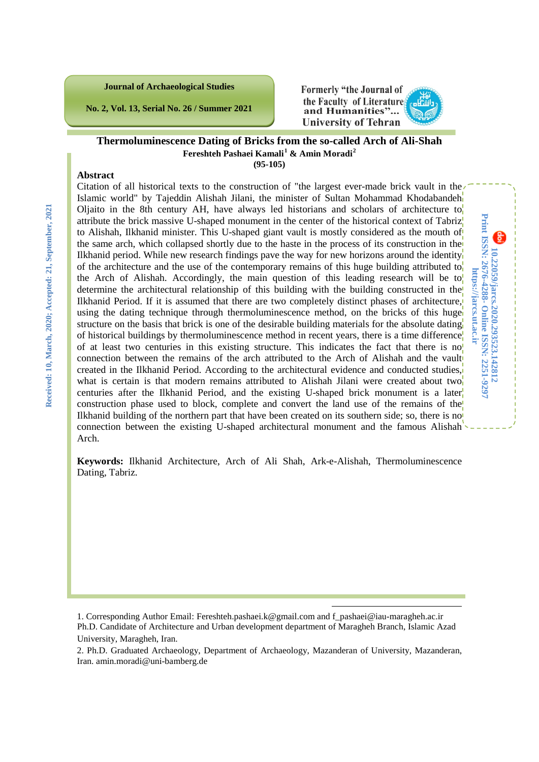**Journal of Archaeological Studies**

**No. 2, Vol. 13, Serial No. 26 / Summer 2021**



**10.22059/jarcs.2020.293523.142812**

**Online ISSN: 2251-9297**

**https://jarcs.ut.ac.ir**

https://jarcs.ut.ac.ii

**Print ISSN: 2676-4288-**

Print ISSN: 2676-4288- Online ISSN: 2251-9297 10.22059/jarcs.2020.293523.142812

#### **Thermoluminescence Dating of Bricks from the so-called Arch of Ali-Shah Fereshteh Pashaei Kamali[1](#page-0-0) & Amin Moradi[2](#page-0-1) (95-105)**

#### **Abstract**

Citation of all historical texts to the construction of "the largest ever-made brick vault in the Islamic world" by Tajeddin Alishah Jilani, the minister of Sultan Mohammad Khodabandeh Oljaito in the 8th century AH, have always led historians and scholars of architecture to attribute the brick massive U-shaped monument in the center of the historical context of Tabriz to Alishah, Ilkhanid minister. This U-shaped giant vault is mostly considered as the mouth of the same arch, which collapsed shortly due to the haste in the process of its construction in the Ilkhanid period. While new research findings pave the way for new horizons around the identity of the architecture and the use of the contemporary remains of this huge building attributed to the Arch of Alishah. Accordingly, the main question of this leading research will be to determine the architectural relationship of this building with the building constructed in the Ilkhanid Period. If it is assumed that there are two completely distinct phases of architecture, using the dating technique through thermoluminescence method, on the bricks of this huge structure on the basis that brick is one of the desirable building materials for the absolute dating of historical buildings by thermoluminescence method in recent years, there is a time difference of at least two centuries in this existing structure. This indicates the fact that there is no connection between the remains of the arch attributed to the Arch of Alishah and the vault created in the Ilkhanid Period. According to the architectural evidence and conducted studies, what is certain is that modern remains attributed to Alishah Jilani were created about two centuries after the Ilkhanid Period, and the existing U-shaped brick monument is a later construction phase used to block, complete and convert the land use of the remains of the Ilkhanid building of the northern part that have been created on its southern side; so, there is no connection between the existing U-shaped architectural monument and the famous Alishah Arch.

**Keywords:** Ilkhanid Architecture, Arch of Ali Shah, Ark-e-Alishah, Thermoluminescence Dating, Tabriz.

<span id="page-0-0"></span>1. Corresponding Author Email: Fereshteh.pashaei.k@gmail.com and f\_pashaei@iau-maragheh.ac.ir Ph.D. Candidate of Architecture and Urban development department of Maragheh Branch, Islamic Azad University, Maragheh, Iran.

-

<span id="page-0-1"></span><sup>2.</sup> Ph.D. Graduated Archaeology, Department of Archaeology, Mazanderan of University, Mazanderan, Iran. amin.moradi@uni-bamberg.de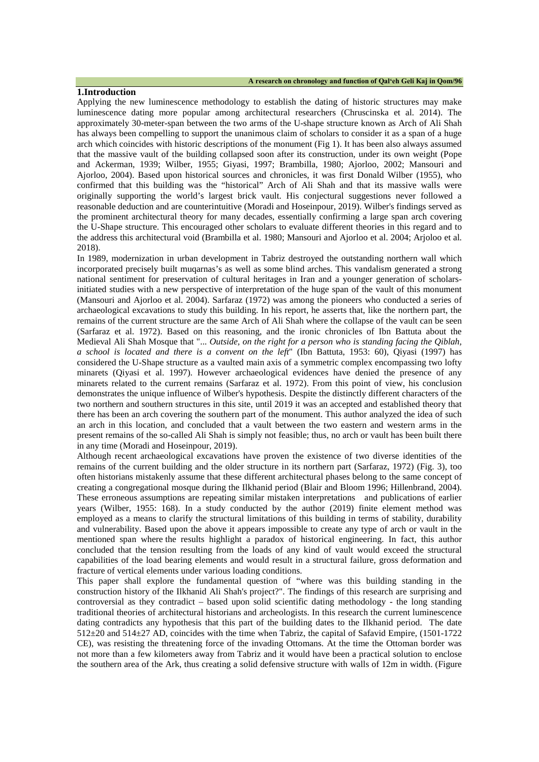#### **1.Introduction**

Applying the new luminescence methodology to establish the dating of historic structures may make luminescence dating more popular among architectural researchers (Chruscinska et al. 2014). The approximately 30-meter-span between the two arms of the U-shape structure known as Arch of Ali Shah has always been compelling to support the unanimous claim of scholars to consider it as a span of a huge arch which coincides with historic descriptions of the monument (Fig 1). It has been also always assumed that the massive vault of the building collapsed soon after its construction, under its own weight (Pope and Ackerman, 1939; Wilber, 1955; Giyasi, 1997; Brambilla, 1980; Ajorloo, 2002; Mansouri and Ajorloo, 2004). Based upon historical sources and chronicles, it was first Donald Wilber (1955), who confirmed that this building was the "historical" Arch of Ali Shah and that its massive walls were originally supporting the world's largest brick vault. His conjectural suggestions never followed a reasonable deduction and are counterintuitive (Moradi and Hoseinpour, 2019). Wilber's findings served as the prominent architectural theory for many decades, essentially confirming a large span arch covering the U-Shape structure. This encouraged other scholars to evaluate different theories in this regard and to the address this architectural void (Brambilla et al. 1980; Mansouri and Ajorloo et al. 2004; Arjoloo et al. 2018).

In 1989, modernization in urban development in Tabriz destroyed the outstanding northern wall which incorporated precisely built muqarnas's as well as some blind arches. This vandalism generated a strong national sentiment for preservation of cultural heritages in Iran and a younger generation of scholarsinitiated studies with a new perspective of interpretation of the huge span of the vault of this monument (Mansouri and Ajorloo et al. 2004). Sarfaraz (1972) was among the pioneers who conducted a series of archaeological excavations to study this building. In his report, he asserts that, like the northern part, the remains of the current structure are the same Arch of Ali Shah where the collapse of the vault can be seen (Sarfaraz et al. 1972). Based on this reasoning, and the ironic chronicles of Ibn Battuta about the Medieval Ali Shah Mosque that "... *Outside, on the right for a person who is standing facing the Qiblah, a school is located and there is a convent on the left*" (Ibn Battuta, 1953: 60), Qiyasi (1997) has considered the U-Shape structure as a vaulted main axis of a symmetric complex encompassing two lofty minarets (Qiyasi et al. 1997). However archaeological evidences have denied the presence of any minarets related to the current remains (Sarfaraz et al. 1972). From this point of view, his conclusion demonstrates the unique influence of Wilber's hypothesis. Despite the distinctly different characters of the two northern and southern structures in this site, until 2019 it was an accepted and established theory that there has been an arch covering the southern part of the monument. This author analyzed the idea of such an arch in this location, and concluded that a vault between the two eastern and western arms in the present remains of the so-called Ali Shah is simply not feasible; thus, no arch or vault has been built there in any time (Moradi and Hoseinpour, 2019).

Although recent archaeological excavations have proven the existence of two diverse identities of the remains of the current building and the older structure in its northern part (Sarfaraz, 1972) (Fig. 3), too often historians mistakenly assume that these different architectural phases belong to the same concept of creating a congregational mosque during the Ilkhanid period (Blair and Bloom 1996; Hillenbrand, 2004). These erroneous assumptions are repeating similar mistaken interpretations and publications of earlier years (Wilber, 1955: 168). In a study conducted by the author (2019) finite element method was employed as a means to clarify the structural limitations of this building in terms of stability, durability and vulnerability. Based upon the above it appears impossible to create any type of arch or vault in the mentioned span where the results highlight a paradox of historical engineering. In fact, this author concluded that the tension resulting from the loads of any kind of vault would exceed the structural capabilities of the load bearing elements and would result in a structural failure, gross deformation and fracture of vertical elements under various loading conditions.

This paper shall explore the fundamental question of "where was this building standing in the construction history of the Ilkhanid Ali Shah's project?". The findings of this research are surprising and controversial as they contradict – based upon solid scientific dating methodology - the long standing traditional theories of architectural historians and archeologists. In this research the current luminescence dating contradicts any hypothesis that this part of the building dates to the Ilkhanid period. The date 512±20 and 514±27 AD, coincides with the time when Tabriz, the capital of Safavid Empire, (1501-1722 CE), was resisting the threatening force of the invading Ottomans. At the time the Ottoman border was not more than a few kilometers away from Tabriz and it would have been a practical solution to enclose the southern area of the Ark, thus creating a solid defensive structure with walls of 12m in width. (Figure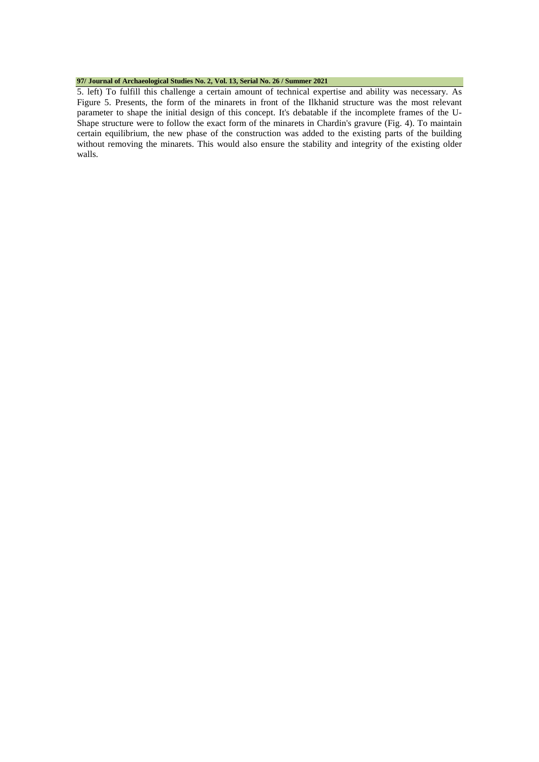#### **97/ Journal of Archaeological Studies No. 2, Vol. 13, Serial No. 26 / Summer 2021**

5. left) To fulfill this challenge a certain amount of technical expertise and ability was necessary. As Figure 5. Presents, the form of the minarets in front of the Ilkhanid structure was the most relevant parameter to shape the initial design of this concept. It's debatable if the incomplete frames of the U-Shape structure were to follow the exact form of the minarets in Chardin's gravure (Fig. 4). To maintain certain equilibrium, the new phase of the construction was added to the existing parts of the building without removing the minarets. This would also ensure the stability and integrity of the existing older walls.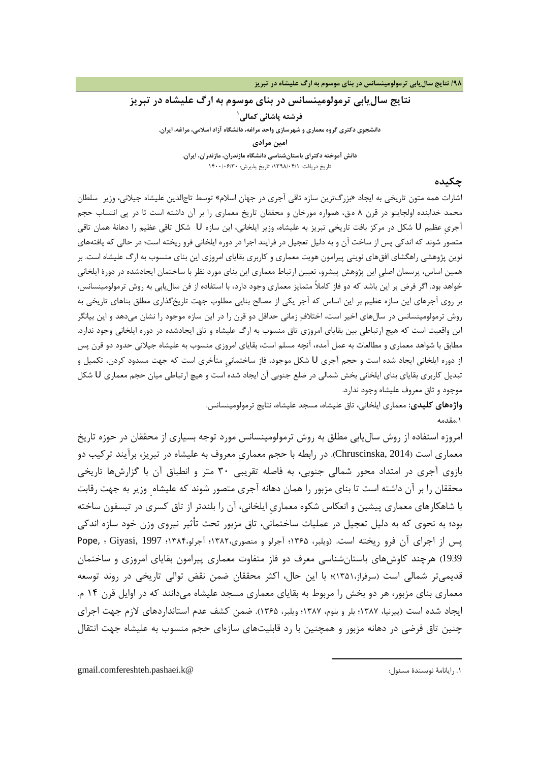## **نتایج سالیابی ترمولومینسانس در بناي موسوم به ارگ علیشاه در تبریز**

**[1](#page-3-0) فرشته پاشائی کمالی دانشجوي دکتري گروه معماري و شهرسازي واحد مراغه، دانشگاه آزاد اسلامی، مراغه، ایران. امین مرادي دانش آموخته دکتراي باستانشناسی دانشگاه مازندران، مازندران، ایران.**

تاریخ دریافت: 1398/04/1؛ تاریخ پذیرش: 1400/06/30

### **چکیده**

اشارات همه متون تاریخی به ایجاد «بزرگترین سازه تاقی آجري در جهان اسلام» توسط تاجالدین علیشاه جیلانی، وزیر سلطان محمد خدابنده اولجایتو در قرن 8 ه.ق، همواره مورخان و محققان تاریخ معماري را بر آن داشته است تا در پی انتساب حجم آجريِ عظیم U شکل در مرکز بافت تاریخی تبریز به علیشاه، وزیر ایلخانی، این سازه U شکل تاقی عظیم را دهانۀ همان تاقی متصور شوند که اندکی پس از ساخت آن و به دلیل تعجیل در فرایند اجرا در دوره ایلخانی فرو ریخته است؛ در حالی که یافتههاي نوین پژوهشی راهگشاي افقهاي نوینی پیرامون هویت معماري و کاربري بقایاي امروزي این بناي منسوب به ارگ علیشاه است. بر همین اساس، پرسمان اصلیِ این پژوهش پیشرو، تعیین ارتباط معماري این بناي مورد نظر با ساختمان ایجادشده در دورة ایلخانی خواهد بود. اگر فرض بر این باشد که دو فاز کاملاً متمایز معماري وجود دارد، با استفاده از فن سالیابی به روش ترمولومینسانس، بر روي آجرهاي این سازه عظیم بر این اساس که آجر یکی از مصالح بنایی مطلوب جهت تاریخگذاري مطلق بناهاي تاریخی به روش ترمولومینسانس در سالهاي اخیر است، اختلاف زمانی حداقل دو قرن را در این سازه موجود را نشان میدهد و این بیانگر این واقعیت است که هیچ ارتباطی بین بقایاي امروزي تاق منسوب به ارگ علیشاه و تاق ایجادشده در دوره ایلخانی وجود ندارد. مطابق با شواهد معماري و مطالعات به عمل آمده، آنچه مسلم است، بقایاي امروزي منسوب به علیشاه جیلانی حدود دو قرن پس از دوره ایلخانی ایجاد شده است و حجم آجري U شکل موجود، فاز ساختمانیِ متأخري است که جهت مسدود کردن، تکمیل و تبدیل کاربري بقایاي بناي ایلخانی بخش شمالی در ضلع جنوبی آن ایجاد شده است و هیچ ارتباطی میان حجم معماري U شکل موجود و تاق معروف علیشاه وجود ندارد.

> **واژههاي کلیدي:** معماري ایلخانی، تاق علیشاه، مسجد علیشاه، نتایج ترمولومینسانس. .1مقدمه

> > 1

امروزه استفاده از روش سالیابی مطلق به روش ترمولومینسانس مورد توجه بسیاري از محققان در حوزه تاریخ معماري است (2014 ,Chruscinska(. در رابطه با حجم معماريِ معروف به علیشاه در تبریز، برآیند ترکیب دو بازوي آجري در امتداد محور شمالی جنوبی، به فاصله تقریبی 30 متر و انطباق آن با گزارشها تاریخی محققان را بر آن داشته است تا بناي مزبور را همان دهانه آجري متصور شوند که علیشاه ِ وزیر به جهت رقابت با شاهکارهاي معماري پیشین و انعکاس شکوه معماريِ ایلخانی، آن را بلندتر از تاق کسري در تیسفون ساخته بود؛ به نحوي که به دلیل تعجیل در عملیات ساختمانی، تاق مزبور تحت تأثیر نیروي وزن خود سازه اندکی پس از اجراي آن فرو ریخته است. (ویلبر، 1365؛ آجرلو و منصوري1382،؛ آجرلو1384،؛ 1997 ,Giyasi ؛ ,Pope 1939) هرچند کاوشهاي باستانشناسی معرف دو فاز متفاوت معماري پیرامون بقایاي امروزي و ساختمان قدیمیتر شمالی است (سرفراز1351،)؛ با این حال، اکثر محققان ضمن نقض توالی تاریخی در روند توسعه معماري بناي مزبور، هر دو بخش را مربوط به بقایاي معماري مسجد علیشاه میدانند که در اوایل قرن 14 م. ایجاد شده است (پیرنیا، 1387؛ بلر و بلوم، 1387؛ ویلبر، 1365). ضمن کشف عدم استانداردهاي لازم جهت اجراي چنین تاق فرضی در دهانه مزبور و همچنین با رد قابلیتهاي سازهاي حجم منسوب به علیشاه جهت انتقال

<span id="page-3-0"></span>gmail.comfereshteh.pashaei.k@ :مسئول نویسندة رایانامۀ .1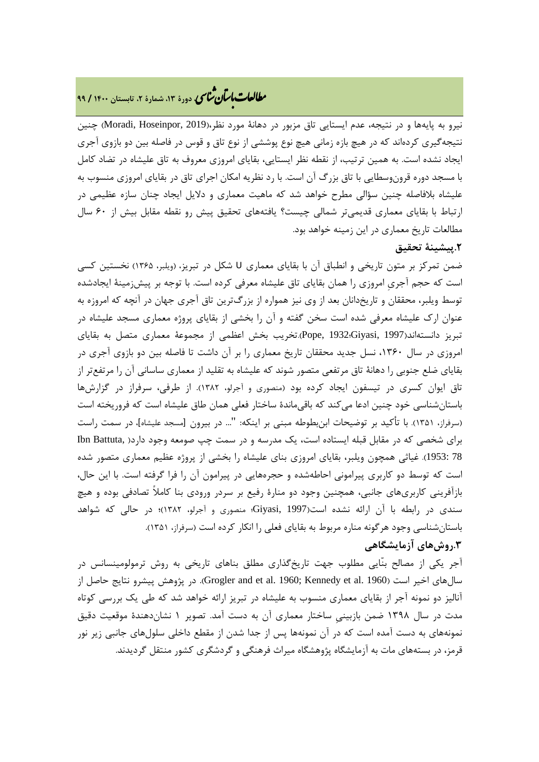# **، دورة ،13 شمارة ،2 تابستان <sup>1400</sup> / <sup>99</sup>** �نا� �طا ی �عات با�تان

نیرو به پایهها و در نتیجه، عدم ایستایی تاق مزبور در دهانۀ مورد نظر،(2019 ,Hoseinpor ,Moradi (چنین نتیجهگیري کردهاند که در هیچ بازه زمانی هیچ نوع پوششی از نوع تاق و قوس در فاصله بین دو بازوي آجري ایجاد نشده است. به همین ترتیب، از نقطه نظر ایستایی، بقایاي امروزي معروف به تاق علیشاه در تضاد کامل با مسجد دوره قرونوسطایی با تاق بزرگ آن است. با رد نظریه امکان اجراي تاق در بقایاي امروزي منسوب به علیشاه بلافاصله چنین سؤالی مطرح خواهد شد که ماهیت معماري و دلایل ایجاد چنان سازه عظیمی در ارتباط با بقایاي معماري قدیمیتر شمالی چیست؟ یافتههاي تحقیق پیش رو نقطه مقابل بیش از 60 سال مطالعات تاریخ معماري در این زمینه خواهد بود.

## **.2پیشینۀ تحقیق**

ضمن تمرکز بر متون تاریخی و انطباق آن با بقایاي معماري U شکل در تبریز، (ویلبر، 1365) نخستین کسی است که حجم آجريِ امروزي را همان بقایاي تاق علیشاه معرفی کرده است. با توجه بر پیشزمینۀ ایجادشده توسط ویلبر، محققان و تاریخدانان بعد از وي نیز همواره از بزرگترین تاق آجري جهان در آنچه که امروزه به عنوان ارك علیشاه معرفی شده است سخن گفته و آن را بخشی از بقایاي پروژه معماري مسجد علیشاه در تبریز دانستهاند(1997 ,Giyasi؛1932 ,Pope(.تخریب بخش اعظمی از مجموعۀ معماري متصل به بقایاي امروزي در سال ،1360 نسل جدید محققان تاریخ معماري را بر آن داشت تا فاصله بین دو بازوي آجري در بقایاي ضلع جنوبی را دهانۀ تاق مرتفعی متصور شوند که علیشاه به تقلید از معماري ساسانی آن را مرتفعتر از تاق ایوان کسري در تیسفون ایجاد کرده بود (منصوري و آجرلو، 1382). از طرفی، سرفراز در گزارشها باستانشناسی خود چنین ادعا میکند که باقیماندة ساختار فعلی همان طاق علیشاه است که فروریخته است (سرفراز، 1351). با تأکید بر توضیحات ابنبطوطه مبنی بر اینکه: "... در بیرون [مسجد علیشاه]، در سمت راست براي شخصی که در مقابل قبله ایستاده است، یک مدرسه و در سمت چپ صومعه وجود دارد( ,Battuta Ibn 78 1953:). غیاثی همچون ویلبر، بقایاي امروزي بناي علیشاه را بخشی از پروژه عظیم معماري متصور شده است که توسط دو کاربري پیرامونی احاطهشده و حجرههایی در پیرامون آن را فرا گرفته است. با این حال، بازآفرینی کاربريهاي جانبی، همچنین وجود دو منارة رفیع بر سردر ورودي بنا کاملاً تصادفی بوده و هیچ سندي در رابطه با آن ارائه نشده است(1997 ,Giyasi؛ منصوري و آجرلو، 1382)؛ در حالی که شواهد باستانشناسی وجود هرگونه مناره مربوط به بقایاي فعلی را انکار کرده است (سرفراز، 1351).

## **.3روشهاي آزمایشگاهی**

آجر یکی از مصالح بنّایی مطلوب جهت تاریخگذاري مطلق بناهاي تاریخی به روش ترمولومینسانس در سالهای اخیر است (1960 .Grogler and et al. 1960; Kennedy et al وttp: در پژوهش پیشرو نتایج حاصل از آنالیز دو نمونه آجر از بقایاي معماري منسوب به علیشاه در تبریز ارائه خواهد شد که طی یک بررسی کوتاه مدت در سال 1398 ضمن بازبینیِ ساختار معماري آن به دست آمد. تصویر 1 نشاندهندة موقعیت دقیق نمونههاي به دست آمده است که در آن نمونهها پس از جدا شدن از مقطع داخلی سلولهاي جانبی زیر نور قرمز، در بستههاي مات به آزمایشگاه پژوهشگاه میراث فرهنگی و گردشگري کشور منتقل گردیدند.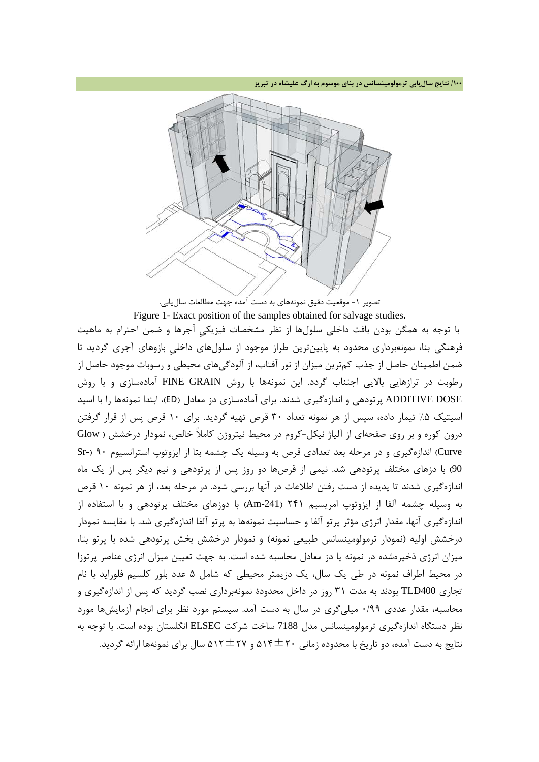**/100 نتایج سالیابی ترمولومینسانس در بناي موسوم به ارگ علیشاه در تبریز**



Figure 1- Exact position of the samples obtained for salvage studies. با توجه به همگن بودن بافت داخلی سلولها از نظر مشخصات فیزیکیِ آجرها و ضمن احترام به ماهیت فرهنگی بنا، نمونهبرداري محدود به پایینترین طراز موجود از سلولهاي داخلیِ بازوهاي آجري گردید تا ضمن اطمینان حاصل از جذب کمترین میزان از نور آفتاب، از آلودگیهاي محیطی و رسوبات موجود حاصل از رطوبت در ترازهایی بالایی اجتناب گردد. این نمونهها با روش GRAIN FINE آمادهسازي و با روش DOSE ADDITIVE پرتودهی و اندازهگیري شدند. براي آمادهسازي دز معادل (ED(، ابتدا نمونهها را با اسید اسیتیک %5 تیمار داده، سپس از هر نمونه تعداد 30 قرص تهیه گردید. براي 10 قرص پس از قرار گرفتن درون کوره و بر روي صفحهاي از آلیاژ نیکل-کروم در محیط نیتروژن کاملاً خالص، نمودار درخشش ( Glow Curve (اندازهگیري و در مرحله بعد تعدادي قرص به وسیله یک چشمه بتا از ایزوتوپ استرانسیوم 90 (-Sr 90) با دزهاي مختلف پرتودهی شد. نیمی از قرصها دو روز پس از پرتودهی و نیم دیگر پس از یک ماه اندازهگیري شدند تا پدیده از دست رفتن اطلاعات در آنها بررسی شود. در مرحله بعد، از هر نمونه 10 قرص به وسیله چشمه آلفا از ایزوتوپ امریسیم 241 (-241Am (با دوزهاي مختلف پرتودهی و با استفاده از اندازهگیري آنها، مقدار انرژي مؤثر پرتو آلفا و حساسیت نمونهها به پرتو آلفا اندازهگیري شد. با مقایسه نمودار درخشش اولیه (نمودار ترمولومینسانس طبیعی نمونه) و نمودار درخشش بخش پرتودهی شده با پرتو بتا، میزان انرژي ذخیرهشده در نمونه یا دز معادل محاسبه شده است. به جهت تعیین میزان انرژي عناصر پرتوزا در محیط اطراف نمونه در طی یک سال، یک دزیمتر محیطی که شامل 5 عدد بلور کلسیم فلوراید با نام تجاري 400TLD بودند به مدت 31 روز در داخل محدودة نمونهبرداري نصب گردید که پس از اندازهگیري و محاسبه، مقدار عددي 0/99 میلیگري در سال به دست آمد. سیستم مورد نظر براي انجام آزمایشها مورد نظر دستگاه اندازهگیري ترمولومینسانس مدل 7188 ساخت شرکت ELSEC انگلستان بوده است. با توجه به نتایج به دست آمده، دو تاریخ با محدوده زمانی 514±20 و 512±27 سال براي نمونهها ارائه گردید.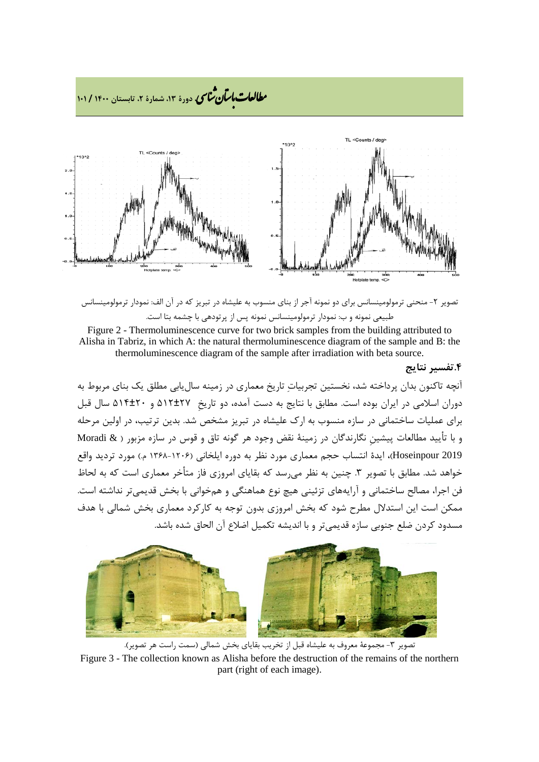

تصویر ۲- منحنی ترمولومینسانس برای دو نمونه آجر از بنای منسوب به علیشاه در تبریز که در آن الف: نمودار ترمولومینسانس طبیعی نمونه و ب: نمودار ترمولومینسانس نمونه پس از پرتودهی با چشمه بتا است.

Figure 2 - Thermoluminescence curve for two brick samples from the building attributed to Alisha in Tabriz, in which A: the natural thermoluminescence diagram of the sample and B: the thermoluminescence diagram of the sample after irradiation with beta source.

## **.4تفسیر نتایج**

آنچه تاکنون بدان پرداخته شد، نخستین تجربیات تاریخ معماري در زمینه سالیابی مطلق یک بناي مربوط به دوران اسلامی در ایران بوده است. مطابق با نتایج به دست آمده، دو تاریخِ 512±27 و 514±20 سال قبل براي عملیات ساختمانی در سازه منسوب به ارك علیشاه در تبریز مشخص شد. بدین ترتیب، در اولین مرحله و با تأیید مطالعات پیشینِ نگارندگان در زمینۀ نقض وجود هر گونه تاق و قوس در سازه مزبور ( & Moradi 2019 Hoseinpour(، ایدة انتساب حجم معماري مورد نظر به دوره ایلخانی (1368-1206 م.) مورد تردید واقع خواهد شد. مطابق با تصویر ۳. چنین به نظر می رسد که بقایای امروزی فاز متأخر معماری است که به لحاظ فن اجرا، مصالح ساختمانی و آرایههاي تزئینی هیچ نوع هماهنگی و همخوانی با بخش قدیمیتر نداشته است. ممکن است این استدلال مطرح شود که بخش امروزي بدون توجه به کارکرد معماري بخش شمالی با هدف مسدود کردن ضلع جنوبی سازه قدیمیتر و با اندیشه تکمیل اضلاع آن الحاق شده باشد.



تصویر ۳- مجموعۀ معروف به علیشاه قبل از تخریب بقایای بخش شمالی (سمت راست هر تصویر). Figure 3 - The collection known as Alisha before the destruction of the remains of the northern part (right of each image).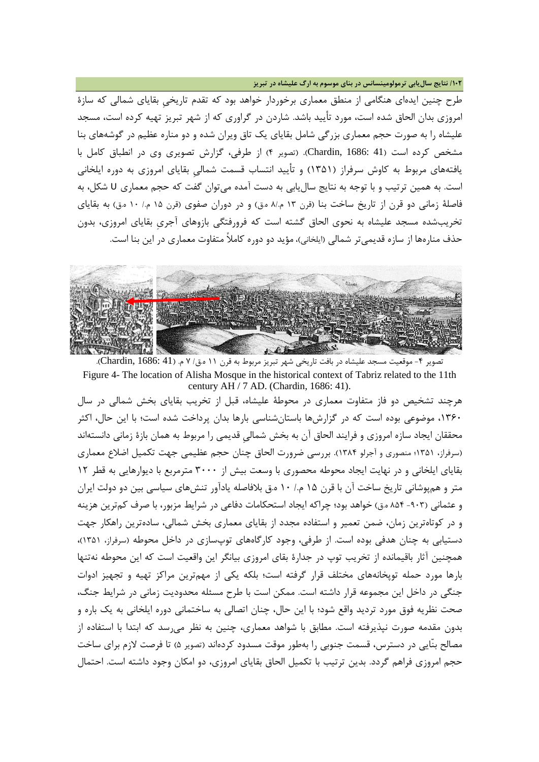**/102 نتایج سالیابی ترمولومینسانس در بناي موسوم به ارگ علیشاه در تبریز**

طرح چنین ایدهاي هنگامی از منطق معماري برخوردار خواهد بود که تقدم تاریخیِ بقایاي شمالی که سازة امروزي بدان الحاق شده است، مورد تأیید باشد. شاردن در گراوري که از شهر تبریز تهیه کرده است، مسجد علیشاه را به صورت حجم معماري بزرگی شامل بقایاي یک تاق ویران شده و دو مناره عظیم در گوشههاي بنا مشخص کرده است (41 1686: ,Chardin(.) تصویر 4) از طرفی، گزارش تصویري وي در انطباق کامل با یافتههاي مربوط به کاوش سرفراز (1351) و تأیید انتساب قسمت شمالیِ بقایاي امروزي به دوره ایلخانی است. به همین ترتیب و با توجه به نتایج سالیابی به دست آمده میتوان گفت که حجم معماري U شکل، به فاصلۀ زمانی دو قرن از تاریخ ساخت بنا (قرن ١٣ م./٨ ه.ق) و در دوران صفوي (قرن ١٥ م./ ١٠ ه.ق) به بقایاي تخریبشده مسجد علیشاه به نحوي الحاق گشته است که فرورفتگی بازوهاي آجريِ بقایاي امروزي، بدون حذف منارهها از سازه قدیمیتر شمالی (ایلخانی)، مؤید دو دوره کاملاً متفاوت معماري در این بنا است.



تصویر ۴- موقعیت مسجد علیشاه در بافت تاریخی شهر تبریز مربوط به قرن ١١ ه.ق/ ٧ م. (Chardin, 1686: 41). Figure 4- The location of Alisha Mosque in the historical context of Tabriz related to the 11th century AH / 7 AD. (Chardin, 1686: 41).

هرچند تشخیص دو فاز متفاوت معماري در محوطۀ علیشاه، قبل از تخریب بقایاي بخش شمالی در سال ،1360 موضوعی بوده است که در گزارشها باستانشناسی بارها بدان پرداخت شده است؛ با این حال، اکثر محققان ایجاد سازه امروزي و فرایند الحاق آن به بخش شمالیِ قدیمی را مربوط به همان بازة زمانی دانستهاند (سرفراز، 1351؛ منصوري و آجرلو 1384). بررسی ضرورت الحاق چنان حجم عظیمی جهت تکمیل اضلاع معماري بقایاي ایلخانی و در نهایت ایجاد محوطه محصوري با وسعت بیش از 3000 مترمربع با دیوارهایی به قطر 12 متر و همپوشانی تاریخ ساخت آن با قرن 15 م/. 10 ه.ق بلافاصله یادآور تنشهاي سیاسی بین دو دولت ایران و عثمانی (-903 854 ه.ق) خواهد بود؛ چراکه ایجاد استحکامات دفاعی در شرایط مزبور، با صرف کمترین هزینه و در کوتاهترین زمان، ضمن تعمیر و استفاده مجدد از بقایاي معماري بخش شمالی، سادهترین راهکار جهت دستیابی به چنان هدفی بوده است. از طرفی، وجود کارگاههاي توپسازي در داخل محوطه (سرفراز، 1351)، همچنین آثار باقیمانده از تخریب توپ در جدارة بقاي امروزي بیانگر این واقعیت است که این محوطه نهتنها بارها مورد حمله توپخانههاي مختلف قرار گرفته است؛ بلکه یکی از مهمترین مراکز تهیه و تجهیز ادوات جنگی در داخل این مجموعه قرار داشته است. ممکن است با طرح مسئله محدودیت زمانی در شرایط جنگ، صحت نظریه فوق مورد تردید واقع شود؛ با این حال، چنان اتصالی به ساختمانی دوره ایلخانی به یک باره و بدون مقدمه صورت نپذیرفته است. مطابق با شواهد معماري، چنین به نظر میرسد که ابتدا با استفاده از مصالح بنّایی در دسترس، قسمت جنوبی را بهطور موقت مسدود کردهاند (تصویر 5) تا فرصت لازم براي ساخت حجم امروزي فراهم گردد. بدین ترتیب با تکمیل الحاق بقایاي امروزي، دو امکان وجود داشته است. احتمال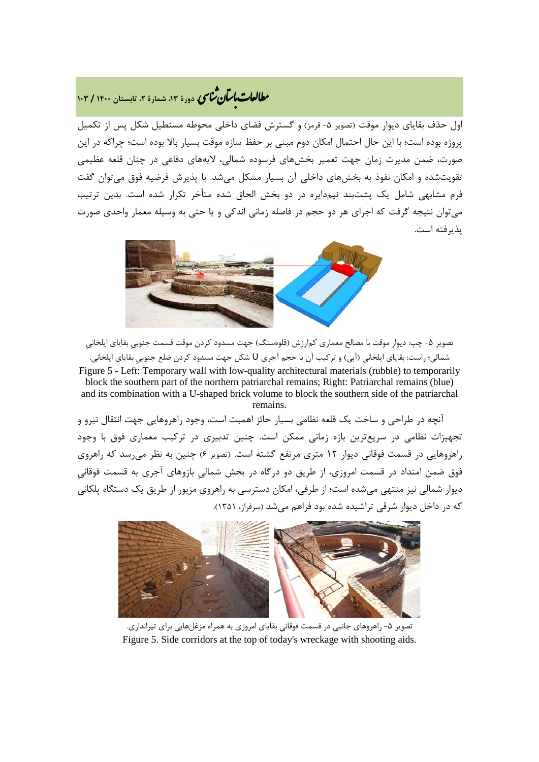# مطالعات *ماسآن مثانی* دورهٔ ۱۳، شمارهٔ ۲، تابستان ۱۴۰۰ / ۱۰۳

اول حذف بقایای دیوار موقت (تصویر ۵- قرمز) و گسترش فضای داخلی محوطه مستطیل شکل پس از تکمیل پروژه بوده است؛ با این حال احتمال امکان دوم مبنی بر حفظ سازه موقت بسیار بالا بوده است؛ چراکه در این صورت، ضمن مدیرت زمان جهت تعمیر بخشهاي فرسوده شمالی، لایههاي دفاعی در چنان قلعه عظیمی تقویتشده و امکان نفوذ به بخشهاي داخلی آن بسیار مشکل میشد. با پذیرش فرضیه فوق میتوان گفت فرم مشابهی شامل یک پشتبند نیمدایره در دو بخش الحاق شده متأخر تکرار شده است. بدین ترتیب میتوان نتیجه گرفت که اجراي هر دو حجم در فاصله زمانی اندکی و یا حتی به وسیله معمار واحدي صورت پذیرفته است.



تصویر ۵- چپ: دیوار موقت با مصالح معماري کمارزش (قلوهسنگ) جهت مسدود کردن موقت قسمت جنوبی بقایاي ایلخانیِ شمالی؛ راست: بقایاي ایلخانی (آبی) و ترکیب آن با حجم آجري U شکل جهت مسدود کردن ضلع جنوبیِ بقایاي ایلخانی. Figure 5 - Left: Temporary wall with low-quality architectural materials (rubble) to temporarily block the southern part of the northern patriarchal remains; Right: Patriarchal remains (blue) and its combination with a U-shaped brick volume to block the southern side of the patriarchal remains.

 آنچه در طراحی و ساخت یک قلعه نظامی بسیار حائز اهمیت است، وجود راهروهایی جهت انتقال نیرو و تجهیزات نظامی در سریعترین بازه زمانی ممکن است. چنین تدبیري در ترکیب معماري فوق با وجود راهروهایی در قسمت فوقانی دیوارِ 12 متري مرتفع گشته است. (تصویر 6) چنین به نظر میرسد که راهروي فوق ضمن امتداد در قسمت امروزي، از طریق دو درگاه در بخش شمالیِ بازوهاي آجري به قسمت فوقانیِ دیوار شمالی نیز منتهی میشده است؛ از طرفی، امکان دسترسی به راهروي مزبور از طریق یک دستگاه پلکانی که در داخل دیوار شرقی تراشیده شده بود فراهم میشد (سرفراز، 1351).



تصویر ۵- راهروهای جانبی در قسمت فوقانی بقایای امروزی به همراه مزغلهایی برای تیراندازی. Figure 5. Side corridors at the top of today's wreckage with shooting aids.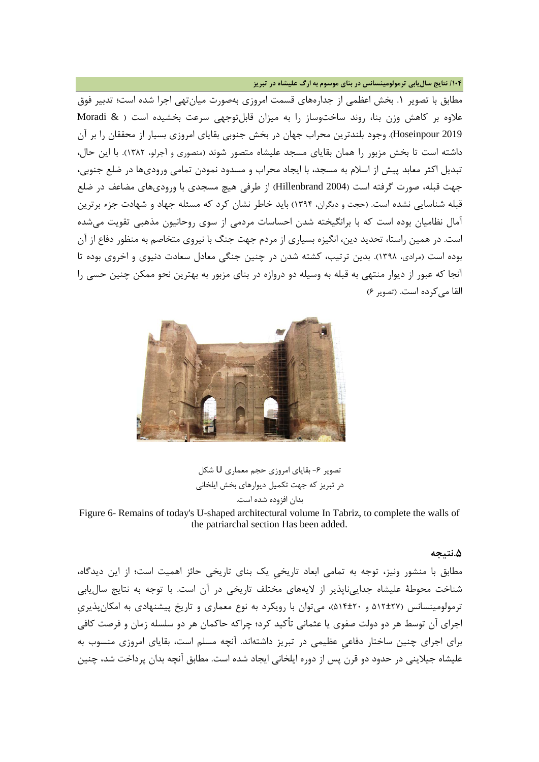**/104 نتایج سالیابی ترمولومینسانس در بناي موسوم به ارگ علیشاه در تبریز**

مطابق با تصویر .1 بخش اعظمی از جدارههاي قسمت امروزي بهصورت میانتهی اجرا شده است؛ تدبیر فوق علاوه بر کاهش وزن بنا، روند ساختوساز را به میزان قابلتوجهی سرعت بخشیده است ( & Moradi 2019 Hoseinpour(. وجود بلندترین محراب جهان در بخش جنوبی بقایاي امروزي بسیار از محققان را بر آن داشته است تا بخش مزبور را همان بقایاي مسجد علیشاه متصور شوند (منصوري و آجرلو، 1382). با این حال، تبدیل اکثر معابد پیش از اسلام به مسجد، با ایجاد محراب و مسدود نمودن تمامی وروديها در ضلع جنوبی، جهت قبله، صورت گرفته است (2004 Hillenbrand (از طرفی هیچ مسجدي با وروديهاي مضاعف در ضلع قبله شناسایی نشده است. (حجت و دیگران، 1394) باید خاطر نشان کرد که مسئله جهاد و شهادت جزء برترین آمال نظامیان بوده است که با برانگیخته شدن احساسات مردمی از سوي روحانیون مذهبی تقویت میشده است. در همین راستا، تحدید دین، انگیزه بسیاري از مردم جهت جنگ با نیروي متخاصم به منظور دفاع از آن بوده است (مرادي، 1398). بدین ترتیب، کشته شدن در چنین جنگی معادل سعادت دنیوي و اخروي بوده تا آنجا که عبور از دیوار منتهی به قبله به وسیله دو دروازه در بناي مزبور به بهترین نحو ممکن چنین حسی را القا میکرده است. (تصویر 6)



تصویر ۶- بقایای امروزي حجم معماري U شکل در تبریز که جهت تکمیل دیوارهاي بخش ایلخانی بدان افزوده شده است.

Figure 6- Remains of today's U-shaped architectural volume In Tabriz, to complete the walls of the patriarchal section Has been added.

#### **.5نتیجه**

مطابق با منشور ونیز، توجه به تمامی ابعاد تاریخیِ یک بناي تاریخی حائز اهمیت است؛ از این دیدگاه، شناخت محوطۀ علیشاه جداییناپذیر از لایههاي مختلف تاریخی در آن است. با توجه به نتایج سالیابی ترمولومینسانس (512±27 و 514±20)، میتوان با رویکرد به نوع معماري و تاریخ پیشنهادي به امکانپذیريِ اجراي آن توسط هر دو دولت صفوي یا عثمانی تأکید کرد؛ چراکه حاکمان هر دو سلسله زمان و فرصت کافی براي اجراي چنین ساختار دفاعیِ عظیمی در تبریز داشتهاند. آنچه مسلم است، بقایاي امروزي منسوب به علیشاه جیلاینی در حدود دو قرن پس از دوره ایلخانی ایجاد شده است. مطابق آنچه بدان پرداخت شد، چنین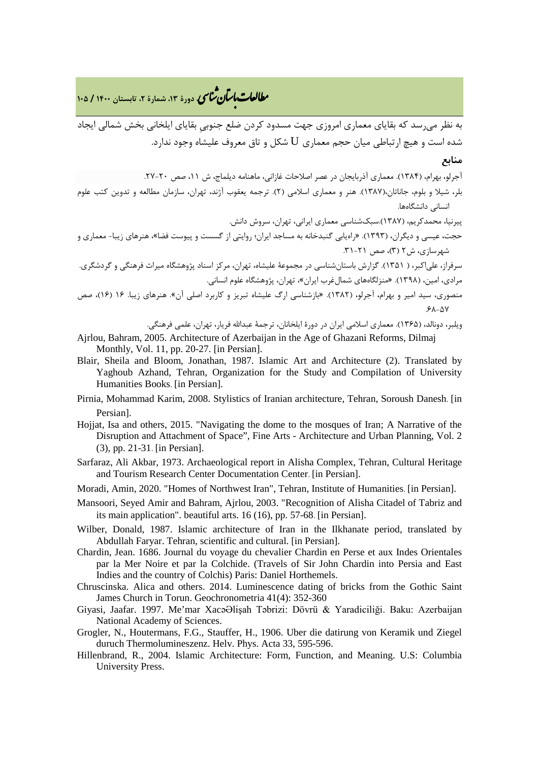به نظر میرسد که بقایاي معماري امروزي جهت مسدود کردن ضلع جنوبیِ بقایاي ایلخانی بخش شمالی ایجاد شده است و هیچ ارتباطی میان حجم معماری  ${\rm U}$  شکل و تاق معروف علیشاه وجود ندارد.

### **منابع**

آجرلو، بهرام، (1384). معماري آذربایجان در عصر اصلاحات غازانی، ماهنامه دیلماج، ش ،11 صص .27-20

بلر، شیلا و بلوم، جاناتان،(1387). هنر و معماري اسلامی (2). ترجمه یعقوب آژند، تهران، سازمان مطالعه و تدوین کتب علوم انسانی دانشگاهها.

پیرنیا، محمدکریم، (1387).سبکشناسی معماري ایرانی، تهران، سروش دانش.

- حجت، عیسی و دیگران، (1393). «راهیابی گنبدخانه به مساجد ایران؛ روایتی از گسست و پیوست فضا»، هنرهاي زیبا- معماري و  $(5)$ شهرسازي، ش ٢ (٣)، صص ٢١-٣١.
- سرفراز، علیاکبر، ( 1351). گزارش باستانشناسی در مجموعۀ علیشاه، تهران، مرکز اسناد پژوهشگاه میراث فرهنگی و گردشگري. مرادي، امین، (1398). «منزلگاههاي شمالغرب ایران»، تهران، پژوهشگاه علوم انسانی.
- منصوري، سید امیر و بهرام، آجرلو، (1382). «بازشناسی ارگ علیشاه تبریز و کاربرد اصلی آن». هنرهاي زیبا. 16 (16)، صص  $.64 - 0.87$

ویلبر، دونالد، (1365). معماري اسلامی ایران در دورة ایلخانان، ترجمۀ عبداالله فریار، تهران، علمی فرهنگی.

- Ajrlou, Bahram, 2005. Architecture of Azerbaijan in the Age of Ghazani Reforms, Dilmaj Monthly, Vol. 11, pp. 20-27. [in Persian].
- Blair, Sheila and Bloom, Jonathan, 1987. Islamic Art and Architecture (2). Translated by Yaghoub Azhand, Tehran, Organization for the Study and Compilation of University Humanities Books. [in Persian].
- Pirnia, Mohammad Karim, 2008. Stylistics of Iranian architecture, Tehran, Soroush Danesh. [in Persian].
- Hojjat, Isa and others, 2015. "Navigating the dome to the mosques of Iran; A Narrative of the Disruption and Attachment of Space", Fine Arts - Architecture and Urban Planning, Vol. 2 (3), pp. 21-31. [in Persian].
- Sarfaraz, Ali Akbar, 1973. Archaeological report in Alisha Complex, Tehran, Cultural Heritage and Tourism Research Center Documentation Center. [in Persian].
- Moradi, Amin, 2020. "Homes of Northwest Iran", Tehran, Institute of Humanities. [in Persian].
- Mansoori, Seyed Amir and Bahram, Ajrlou, 2003. "Recognition of Alisha Citadel of Tabriz and its main application". beautiful arts. 16 (16), pp. 57-68. [in Persian].
- Wilber, Donald, 1987. Islamic architecture of Iran in the Ilkhanate period, translated by Abdullah Faryar. Tehran, scientific and cultural. [in Persian].
- Chardin, Jean. 1686. Journal du voyage du chevalier Chardin en Perse et aux Indes Orientales par la Mer Noire et par la Colchide. (Travels of Sir John Chardin into Persia and East Indies and the country of Colchis) Paris: Daniel Horthemels.
- Chruscinska. Alica and others. 2014. Luminescence dating of bricks from the Gothic Saint James Church in Torun. Geochronometria 41(4): 352-360
- Giyasi, Jaafar. 1997. Me'mar XacəƏlişah Təbrizi: Dövrü & Yaradiciliği. Baku: Azerbaijan National Academy of Sciences.
- Grogler, N., Houtermans, F.G., Stauffer, H., 1906. Uber die datirung von Keramik und Ziegel duruch Thermolumineszenz. Helv. Phys. Acta 33, 595-596.
- Hillenbrand, R., 2004. Islamic Architecture: Form, Function, and Meaning. U.S: Columbia University Press.